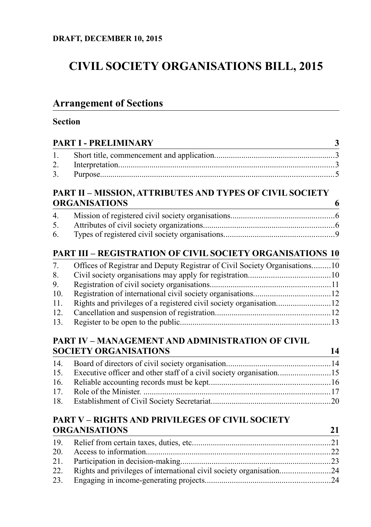# **CIVIL SOCIETY ORGANISATIONS BILL, 2015**

<u> 1980 - Johann Barn, marwolaethau a bhann an t-Amhain Aonaich an t-Amhain Aonaich an t-Amhain Aonaich an t-Amh</u>

# **Arrangement of Sections**

## **Section**

|     | PART I - PRELIMINARY                                                                                          |    |  |
|-----|---------------------------------------------------------------------------------------------------------------|----|--|
| 1.  |                                                                                                               |    |  |
| 2.  |                                                                                                               |    |  |
| 3.  |                                                                                                               |    |  |
|     | PART II – MISSION, ATTRIBUTES AND TYPES OF CIVIL SOCIETY                                                      |    |  |
|     | <b>ORGANISATIONS</b>                                                                                          | 6  |  |
| 4.  |                                                                                                               |    |  |
| 5.  |                                                                                                               |    |  |
| 6.  |                                                                                                               |    |  |
|     | <b>PART III – REGISTRATION OF CIVIL SOCIETY ORGANISATIONS 10</b>                                              |    |  |
| 7.  | Offices of Registrar and Deputy Registrar of Civil Society Organisations10                                    |    |  |
| 8.  |                                                                                                               |    |  |
| 9.  |                                                                                                               |    |  |
| 10. |                                                                                                               |    |  |
| 11. | Rights and privileges of a registered civil society organisation12                                            |    |  |
| 12. |                                                                                                               |    |  |
| 13. |                                                                                                               |    |  |
|     | PART IV – MANAGEMENT AND ADMINISTRATION OF CIVIL                                                              |    |  |
|     | <b>SOCIETY ORGANISATIONS</b>                                                                                  | 14 |  |
| 14. |                                                                                                               |    |  |
| 15. | Executive officer and other staff of a civil society organisation15                                           |    |  |
| 16. |                                                                                                               |    |  |
| 17. |                                                                                                               |    |  |
| 18. |                                                                                                               |    |  |
|     | and the component of the component of the component of the component of the component of the component of the |    |  |

## **[PART V – RIGHTS AND PRIVILEGES OF CIVIL SOCIETY](#page-20-1) [ORGANISATIONS](#page-20-1) 21**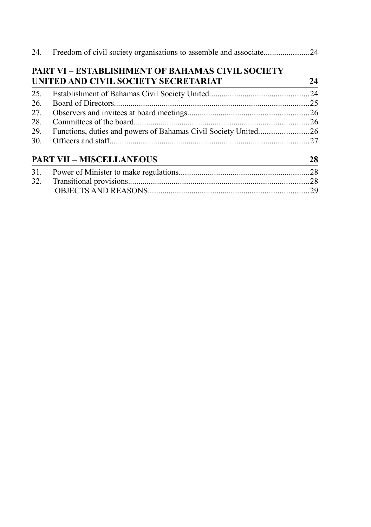|     | <b>PART VI – ESTABLISHMENT OF BAHAMAS CIVIL SOCIETY</b>        |    |
|-----|----------------------------------------------------------------|----|
|     | UNITED AND CIVIL SOCIETY SECRETARIAT                           | 24 |
| 25. |                                                                |    |
| 26. |                                                                | 25 |
| 27. |                                                                |    |
| 28. |                                                                |    |
| 29. | Functions, duties and powers of Bahamas Civil Society United26 |    |
| 30. |                                                                |    |
|     | <b>PART VII - MISCELLANEOUS</b>                                | 28 |
| 31. |                                                                |    |
|     |                                                                |    |
|     |                                                                |    |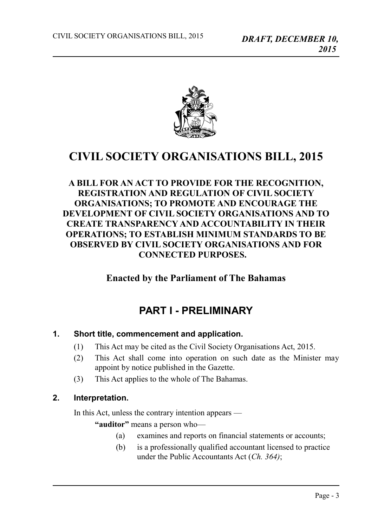

## **CIVIL SOCIETY ORGANISATIONS BILL, 2015**

## **A BILL FOR AN ACT TO PROVIDE FOR THE RECOGNITION, REGISTRATION AND REGULATION OF CIVIL SOCIETY ORGANISATIONS; TO PROMOTE AND ENCOURAGE THE DEVELOPMENT OF CIVIL SOCIETY ORGANISATIONS AND TO CREATE TRANSPARENCY AND ACCOUNTABILITY IN THEIR OPERATIONS; TO ESTABLISH MINIMUM STANDARDS TO BE OBSERVED BY CIVIL SOCIETY ORGANISATIONS AND FOR CONNECTED PURPOSES.**

## **Enacted by the Parliament of The Bahamas**

## <span id="page-2-2"></span>**PART I - PRELIMINARY**

#### **1. Short title, commencement and application.**

- <span id="page-2-1"></span>(1) This Act may be cited as the Civil Society Organisations Act, 2015.
- (2) This Act shall come into operation on such date as the Minister may appoint by notice published in the Gazette.
- (3) This Act applies to the whole of The Bahamas.

#### **2. Interpretation.**

<span id="page-2-0"></span>In this Act, unless the contrary intention appears —

**"auditor"** means a person who—

- (a) examines and reports on financial statements or accounts;
- (b) is a professionally qualified accountant licensed to practice under the Public Accountants Act (*Ch. 364)*;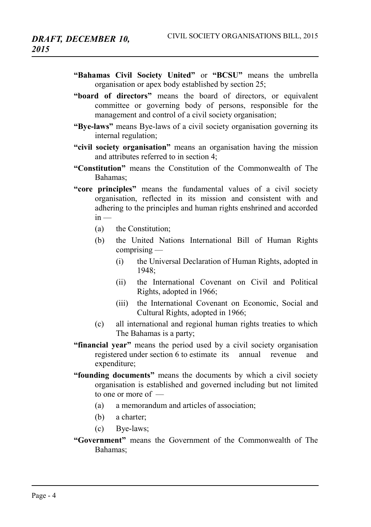- **"Bahamas Civil Society United"** or **"BCSU"** means the umbrella organisation or apex body established by section 25;
- **"board of directors"** means the board of directors, or equivalent committee or governing body of persons, responsible for the management and control of a civil society organisation;
- **"Bye-laws"** means Bye-laws of a civil society organisation governing its internal regulation;
- **"civil society organisation"** means an organisation having the mission and attributes referred to in section 4;
- **"Constitution"** means the Constitution of the Commonwealth of The Bahamas;
- **"core principles"** means the fundamental values of a civil society organisation, reflected in its mission and consistent with and adhering to the principles and human rights enshrined and accorded  $in -$ 
	- (a) the Constitution;
	- (b) the United Nations International Bill of Human Rights comprising —
		- (i) the Universal Declaration of Human Rights, adopted in 1948;
		- (ii) the International Covenant on Civil and Political Rights, adopted in 1966;
		- (iii) the International Covenant on Economic, Social and Cultural Rights, adopted in 1966;
	- (c) all international and regional human rights treaties to which The Bahamas is a party;
- **"financial year"** means the period used by a civil society organisation registered under section 6 to estimate its annual revenue and expenditure;
- **"founding documents"** means the documents by which a civil society organisation is established and governed including but not limited to one or more of —
	- (a) a memorandum and articles of association;
	- (b) a charter;
	- (c) Bye-laws;
- **"Government"** means the Government of the Commonwealth of The Bahamas;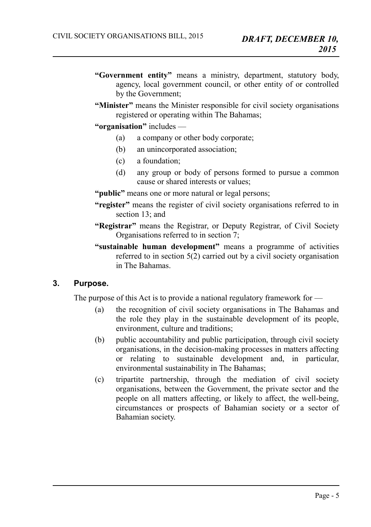- **"Government entity"** means a ministry, department, statutory body, agency, local government council, or other entity of or controlled by the Government;
- **"Minister"** means the Minister responsible for civil society organisations registered or operating within The Bahamas;
- **"organisation"** includes
	- (a) a company or other body corporate;
	- (b) an unincorporated association;
	- (c) a foundation;
	- (d) any group or body of persons formed to pursue a common cause or shared interests or values;
- "**public**" means one or more natural or legal persons;
- **"register"** means the register of civil society organisations referred to in section 13; and
- **"Registrar"** means the Registrar, or Deputy Registrar, of Civil Society Organisations referred to in section 7;
- **"sustainable human development"** means a programme of activities referred to in section  $5(2)$  carried out by a civil society organisation in The Bahamas.

## **3. Purpose.**

<span id="page-4-0"></span>The purpose of this Act is to provide a national regulatory framework for —

- (a) the recognition of civil society organisations in The Bahamas and the role they play in the sustainable development of its people, environment, culture and traditions;
- (b) public accountability and public participation, through civil society organisations, in the decision-making processes in matters affecting or relating to sustainable development and, in particular, environmental sustainability in The Bahamas;
- (c) tripartite partnership, through the mediation of civil society organisations, between the Government, the private sector and the people on all matters affecting, or likely to affect, the well-being, circumstances or prospects of Bahamian society or a sector of Bahamian society.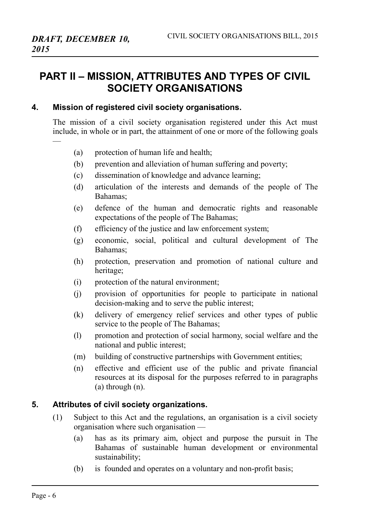—

## <span id="page-5-2"></span>**PART II – MISSION, ATTRIBUTES AND TYPES OF CIVIL SOCIETY ORGANISATIONS**

#### **4. Mission of registered civil society organisations.**

<span id="page-5-1"></span>The mission of a civil society organisation registered under this Act must include, in whole or in part, the attainment of one or more of the following goals

- (a) protection of human life and health;
- (b) prevention and alleviation of human suffering and poverty;
- (c) dissemination of knowledge and advance learning;
- (d) articulation of the interests and demands of the people of The Bahamas;
- (e) defence of the human and democratic rights and reasonable expectations of the people of The Bahamas;
- (f) efficiency of the justice and law enforcement system;
- (g) economic, social, political and cultural development of The Bahamas;
- (h) protection, preservation and promotion of national culture and heritage;
- (i) protection of the natural environment;
- (j) provision of opportunities for people to participate in national decision-making and to serve the public interest;
- (k) delivery of emergency relief services and other types of public service to the people of The Bahamas;
- (l) promotion and protection of social harmony, social welfare and the national and public interest;
- (m) building of constructive partnerships with Government entities;
- (n) effective and efficient use of the public and private financial resources at its disposal for the purposes referred to in paragraphs (a) through (n).

## **5. Attributes of civil society organizations.**

- <span id="page-5-0"></span>(1) Subject to this Act and the regulations, an organisation is a civil society organisation where such organisation —
	- (a) has as its primary aim, object and purpose the pursuit in The Bahamas of sustainable human development or environmental sustainability;
	- (b) is founded and operates on a voluntary and non-profit basis;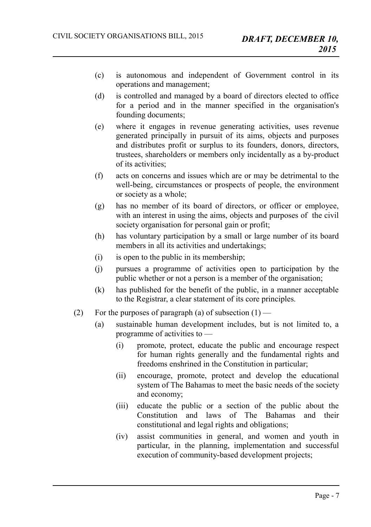- (c) is autonomous and independent of Government control in its operations and management;
- (d) is controlled and managed by a board of directors elected to office for a period and in the manner specified in the organisation's founding documents;
- (e) where it engages in revenue generating activities, uses revenue generated principally in pursuit of its aims, objects and purposes and distributes profit or surplus to its founders, donors, directors, trustees, shareholders or members only incidentally as a by-product of its activities;
- (f) acts on concerns and issues which are or may be detrimental to the well-being, circumstances or prospects of people, the environment or society as a whole;
- (g) has no member of its board of directors, or officer or employee, with an interest in using the aims, objects and purposes of the civil society organisation for personal gain or profit;
- (h) has voluntary participation by a small or large number of its board members in all its activities and undertakings;
- (i) is open to the public in its membership;
- (j) pursues a programme of activities open to participation by the public whether or not a person is a member of the organisation;
- (k) has published for the benefit of the public, in a manner acceptable to the Registrar, a clear statement of its core principles.
- (2) For the purposes of paragraph (a) of subsection  $(1)$ 
	- (a) sustainable human development includes, but is not limited to, a programme of activities to —
		- (i) promote, protect, educate the public and encourage respect for human rights generally and the fundamental rights and freedoms enshrined in the Constitution in particular;
		- (ii) encourage, promote, protect and develop the educational system of The Bahamas to meet the basic needs of the society and economy;
		- (iii) educate the public or a section of the public about the Constitution and laws of The Bahamas and their constitutional and legal rights and obligations;
		- (iv) assist communities in general, and women and youth in particular, in the planning, implementation and successful execution of community-based development projects;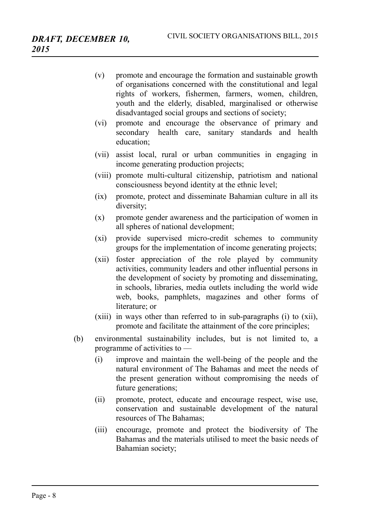- (v) promote and encourage the formation and sustainable growth of organisations concerned with the constitutional and legal rights of workers, fishermen, farmers, women, children, youth and the elderly, disabled, marginalised or otherwise disadvantaged social groups and sections of society;
- (vi) promote and encourage the observance of primary and secondary health care, sanitary standards and health education;
- (vii) assist local, rural or urban communities in engaging in income generating production projects;
- (viii) promote multi-cultural citizenship, patriotism and national consciousness beyond identity at the ethnic level;
- (ix) promote, protect and disseminate Bahamian culture in all its diversity;
- (x) promote gender awareness and the participation of women in all spheres of national development;
- (xi) provide supervised micro-credit schemes to community groups for the implementation of income generating projects;
- (xii) foster appreciation of the role played by community activities, community leaders and other influential persons in the development of society by promoting and disseminating, in schools, libraries, media outlets including the world wide web, books, pamphlets, magazines and other forms of literature; or
- (xiii) in ways other than referred to in sub-paragraphs (i) to (xii), promote and facilitate the attainment of the core principles;
- (b) environmental sustainability includes, but is not limited to, a programme of activities to —
	- (i) improve and maintain the well-being of the people and the natural environment of The Bahamas and meet the needs of the present generation without compromising the needs of future generations;
	- (ii) promote, protect, educate and encourage respect, wise use, conservation and sustainable development of the natural resources of The Bahamas;
	- (iii) encourage, promote and protect the biodiversity of The Bahamas and the materials utilised to meet the basic needs of Bahamian society;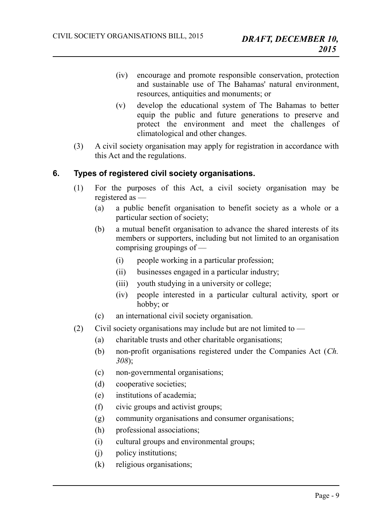- (iv) encourage and promote responsible conservation, protection and sustainable use of The Bahamas' natural environment resources, antiquities and monuments; or
- (v) develop the educational system of The Bahamas to better equip the public and future generations to preserve and protect the environment and meet the challenges of climatological and other changes.
- (3) A civil society organisation may apply for registration in accordance with this Act and the regulations.

## **6. Types of registered civil society organisations.**

- <span id="page-8-0"></span>(1) For the purposes of this Act, a civil society organisation may be registered as —
	- (a) a public benefit organisation to benefit society as a whole or a particular section of society;
	- (b) a mutual benefit organisation to advance the shared interests of its members or supporters, including but not limited to an organisation comprising groupings of —
		- (i) people working in a particular profession;
		- (ii) businesses engaged in a particular industry;
		- (iii) youth studying in a university or college;
		- (iv) people interested in a particular cultural activity, sport or hobby; or
	- (c) an international civil society organisation.
- (2) Civil society organisations may include but are not limited to
	- (a) charitable trusts and other charitable organisations;
	- (b) non-profit organisations registered under the Companies Act (*Ch. 308*);
	- (c) non-governmental organisations;
	- (d) cooperative societies;
	- (e) institutions of academia;
	- (f) civic groups and activist groups;
	- (g) community organisations and consumer organisations;
	- (h) professional associations;
	- (i) cultural groups and environmental groups;
	- (j) policy institutions;
	- (k) religious organisations;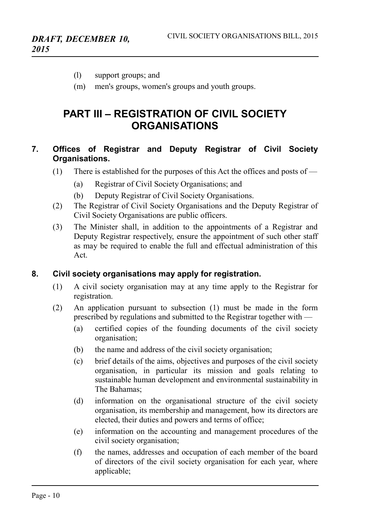- (l) support groups; and
- (m) men's groups, women's groups and youth groups.

## <span id="page-9-2"></span>**PART III – REGISTRATION OF CIVIL SOCIETY ORGANISATIONS**

## <span id="page-9-1"></span>**7. Offices of Registrar and Deputy Registrar of Civil Society Organisations.**

- (1) There is established for the purposes of this Act the offices and posts of  $-$ 
	- (a) Registrar of Civil Society Organisations; and
	- (b) Deputy Registrar of Civil Society Organisations.
- (2) The Registrar of Civil Society Organisations and the Deputy Registrar of Civil Society Organisations are public officers.
- (3) The Minister shall, in addition to the appointments of a Registrar and Deputy Registrar respectively, ensure the appointment of such other staff as may be required to enable the full and effectual administration of this Act.

#### **8. Civil society organisations may apply for registration.**

- <span id="page-9-0"></span>(1) A civil society organisation may at any time apply to the Registrar for registration.
- (2) An application pursuant to subsection (1) must be made in the form prescribed by regulations and submitted to the Registrar together with —
	- (a) certified copies of the founding documents of the civil society organisation;
	- (b) the name and address of the civil society organisation;
	- (c) brief details of the aims, objectives and purposes of the civil society organisation, in particular its mission and goals relating to sustainable human development and environmental sustainability in The Bahamas;
	- (d) information on the organisational structure of the civil society organisation, its membership and management, how its directors are elected, their duties and powers and terms of office;
	- (e) information on the accounting and management procedures of the civil society organisation;
	- (f) the names, addresses and occupation of each member of the board of directors of the civil society organisation for each year, where applicable;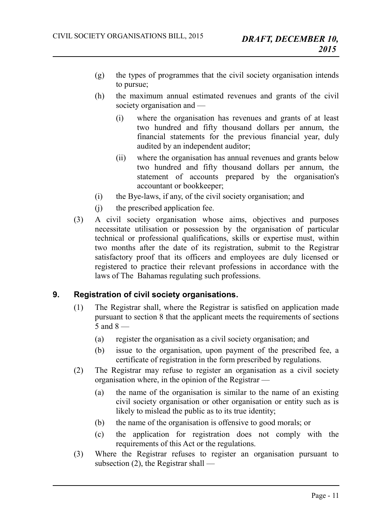- (g) the types of programmes that the civil society organisation intends to pursue;
- (h) the maximum annual estimated revenues and grants of the civil society organisation and —
	- (i) where the organisation has revenues and grants of at least two hundred and fifty thousand dollars per annum, the financial statements for the previous financial year, duly audited by an independent auditor;
	- (ii) where the organisation has annual revenues and grants below two hundred and fifty thousand dollars per annum, the statement of accounts prepared by the organisation's accountant or bookkeeper;
- (i) the Bye-laws, if any, of the civil society organisation; and
- (j) the prescribed application fee.
- (3) A civil society organisation whose aims, objectives and purposes necessitate utilisation or possession by the organisation of particular technical or professional qualifications, skills or expertise must, within two months after the date of its registration, submit to the Registrar satisfactory proof that its officers and employees are duly licensed or registered to practice their relevant professions in accordance with the laws of The Bahamas regulating such professions.

## **9. Registration of civil society organisations.**

- <span id="page-10-0"></span>(1) The Registrar shall, where the Registrar is satisfied on application made pursuant to section 8 that the applicant meets the requirements of sections  $\overline{5}$  and  $\overline{8}$  —
	- (a) register the organisation as a civil society organisation; and
	- (b) issue to the organisation, upon payment of the prescribed fee, a certificate of registration in the form prescribed by regulations.
- (2) The Registrar may refuse to register an organisation as a civil society organisation where, in the opinion of the Registrar —
	- (a) the name of the organisation is similar to the name of an existing civil society organisation or other organisation or entity such as is likely to mislead the public as to its true identity;
	- (b) the name of the organisation is offensive to good morals; or
	- (c) the application for registration does not comply with the requirements of this Act or the regulations.
- (3) Where the Registrar refuses to register an organisation pursuant to subsection (2), the Registrar shall —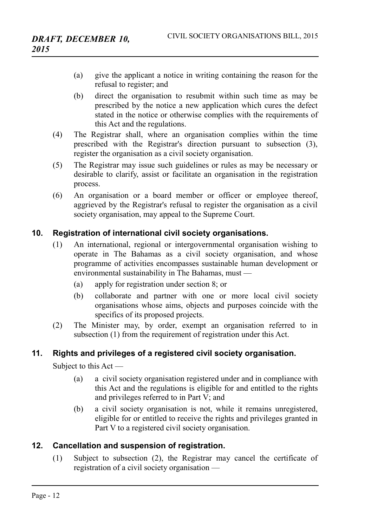- (a) give the applicant a notice in writing containing the reason for the refusal to register; and
- (b) direct the organisation to resubmit within such time as may be prescribed by the notice a new application which cures the defect stated in the notice or otherwise complies with the requirements of this Act and the regulations.
- (4) The Registrar shall, where an organisation complies within the time prescribed with the Registrar's direction pursuant to subsection (3), register the organisation as a civil society organisation.
- (5) The Registrar may issue such guidelines or rules as may be necessary or desirable to clarify, assist or facilitate an organisation in the registration process.
- (6) An organisation or a board member or officer or employee thereof, aggrieved by the Registrar's refusal to register the organisation as a civil society organisation, may appeal to the Supreme Court.

## **10. Registration of international civil society organisations.**

- <span id="page-11-2"></span>(1) An international, regional or intergovernmental organisation wishing to operate in The Bahamas as a civil society organisation, and whose programme of activities encompasses sustainable human development or environmental sustainability in The Bahamas, must —
	- (a) apply for registration under section 8; or
	- (b) collaborate and partner with one or more local civil society organisations whose aims, objects and purposes coincide with the specifics of its proposed projects.
- (2) The Minister may, by order, exempt an organisation referred to in subsection (1) from the requirement of registration under this Act.

## **11. Rights and privileges of a registered civil society organisation.**

<span id="page-11-1"></span>Subject to this Act —

- (a) a civil society organisation registered under and in compliance with this Act and the regulations is eligible for and entitled to the rights and privileges referred to in Part V; and
- (b) a civil society organisation is not, while it remains unregistered, eligible for or entitled to receive the rights and privileges granted in Part V to a registered civil society organisation.

## **12. Cancellation and suspension of registration.**

<span id="page-11-0"></span>(1) Subject to subsection (2), the Registrar may cancel the certificate of registration of a civil society organisation —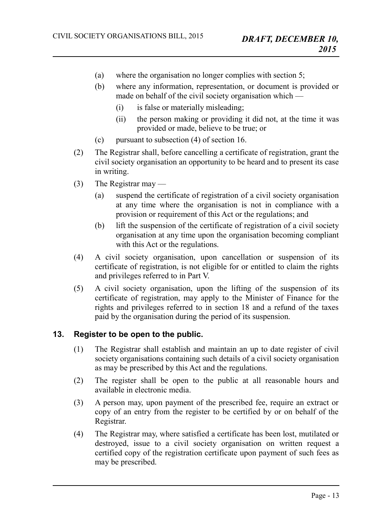- (a) where the organisation no longer complies with section 5;
- (b) where any information, representation, or document is provided or made on behalf of the civil society organisation which —
	- (i) is false or materially misleading;
	- (ii) the person making or providing it did not, at the time it was provided or made, believe to be true; or
- (c) pursuant to subsection (4) of section 16.
- (2) The Registrar shall, before cancelling a certificate of registration, grant the civil society organisation an opportunity to be heard and to present its case in writing.
- (3) The Registrar may
	- (a) suspend the certificate of registration of a civil society organisation at any time where the organisation is not in compliance with a provision or requirement of this Act or the regulations; and
	- (b) lift the suspension of the certificate of registration of a civil society organisation at any time upon the organisation becoming compliant with this Act or the regulations.
- (4) A civil society organisation, upon cancellation or suspension of its certificate of registration, is not eligible for or entitled to claim the rights and privileges referred to in Part V.
- (5) A civil society organisation, upon the lifting of the suspension of its certificate of registration, may apply to the Minister of Finance for the rights and privileges referred to in section 18 and a refund of the taxes paid by the organisation during the period of its suspension.

## **13. Register to be open to the public.**

- <span id="page-12-0"></span>(1) The Registrar shall establish and maintain an up to date register of civil society organisations containing such details of a civil society organisation as may be prescribed by this Act and the regulations.
- (2) The register shall be open to the public at all reasonable hours and available in electronic media.
- (3) A person may, upon payment of the prescribed fee, require an extract or copy of an entry from the register to be certified by or on behalf of the Registrar.
- (4) The Registrar may, where satisfied a certificate has been lost, mutilated or destroyed, issue to a civil society organisation on written request a certified copy of the registration certificate upon payment of such fees as may be prescribed.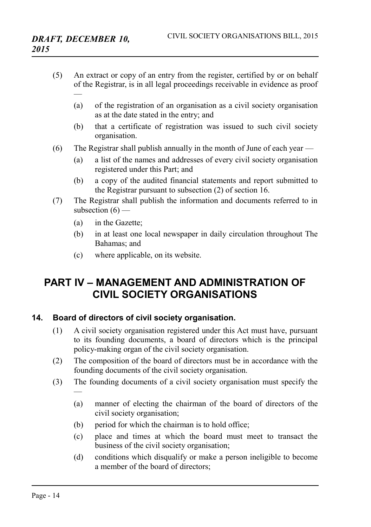- (5) An extract or copy of an entry from the register, certified by or on behalf of the Registrar, is in all legal proceedings receivable in evidence as proof —
	- (a) of the registration of an organisation as a civil society organisation as at the date stated in the entry; and
	- (b) that a certificate of registration was issued to such civil society organisation.
- (6) The Registrar shall publish annually in the month of June of each year
	- (a) a list of the names and addresses of every civil society organisation registered under this Part; and
	- (b) a copy of the audited financial statements and report submitted to the Registrar pursuant to subsection (2) of section 16.
- (7) The Registrar shall publish the information and documents referred to in subsection  $(6)$  —
	- (a) in the Gazette;
	- (b) in at least one local newspaper in daily circulation throughout The Bahamas; and
	- (c) where applicable, on its website.

## <span id="page-13-1"></span>**PART IV – MANAGEMENT AND ADMINISTRATION OF CIVIL SOCIETY ORGANISATIONS**

## **14. Board of directors of civil society organisation.**

- <span id="page-13-0"></span>(1) A civil society organisation registered under this Act must have, pursuant to its founding documents, a board of directors which is the principal policy-making organ of the civil society organisation.
- (2) The composition of the board of directors must be in accordance with the founding documents of the civil society organisation.
- (3) The founding documents of a civil society organisation must specify the
	- (a) manner of electing the chairman of the board of directors of the civil society organisation;
	- (b) period for which the chairman is to hold office;
	- (c) place and times at which the board must meet to transact the business of the civil society organisation;
	- (d) conditions which disqualify or make a person ineligible to become a member of the board of directors;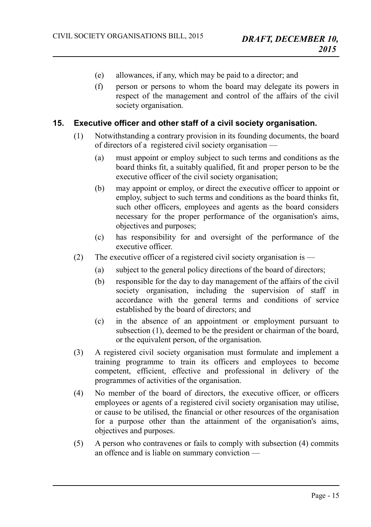- (e) allowances, if any, which may be paid to a director; and
- (f) person or persons to whom the board may delegate its powers in respect of the management and control of the affairs of the civil society organisation.

#### **15. Executive officer and other staff of a civil society organisation.**

- <span id="page-14-0"></span>(1) Notwithstanding a contrary provision in its founding documents, the board of directors of a registered civil society organisation —
	- (a) must appoint or employ subject to such terms and conditions as the board thinks fit, a suitably qualified, fit and proper person to be the executive officer of the civil society organisation;
	- (b) may appoint or employ, or direct the executive officer to appoint or employ, subject to such terms and conditions as the board thinks fit, such other officers, employees and agents as the board considers necessary for the proper performance of the organisation's aims, objectives and purposes;
	- (c) has responsibility for and oversight of the performance of the executive officer.
- (2) The executive officer of a registered civil society organisation is
	- (a) subject to the general policy directions of the board of directors;
	- (b) responsible for the day to day management of the affairs of the civil society organisation, including the supervision of staff in accordance with the general terms and conditions of service established by the board of directors; and
	- (c) in the absence of an appointment or employment pursuant to subsection (1), deemed to be the president or chairman of the board, or the equivalent person, of the organisation.
- (3) A registered civil society organisation must formulate and implement a training programme to train its officers and employees to become competent, efficient, effective and professional in delivery of the programmes of activities of the organisation.
- (4) No member of the board of directors, the executive officer, or officers employees or agents of a registered civil society organisation may utilise, or cause to be utilised, the financial or other resources of the organisation for a purpose other than the attainment of the organisation's aims, objectives and purposes.
- (5) A person who contravenes or fails to comply with subsection (4) commits an offence and is liable on summary conviction —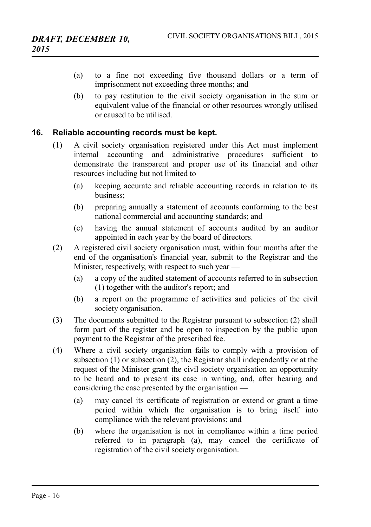- (a) to a fine not exceeding five thousand dollars or a term of imprisonment not exceeding three months; and
- (b) to pay restitution to the civil society organisation in the sum or equivalent value of the financial or other resources wrongly utilised or caused to be utilised.

#### **16. Reliable accounting records must be kept.**

- <span id="page-15-0"></span>(1) A civil society organisation registered under this Act must implement internal accounting and administrative procedures sufficient to demonstrate the transparent and proper use of its financial and other resources including but not limited to —
	- (a) keeping accurate and reliable accounting records in relation to its business;
	- (b) preparing annually a statement of accounts conforming to the best national commercial and accounting standards; and
	- (c) having the annual statement of accounts audited by an auditor appointed in each year by the board of directors.
- (2) A registered civil society organisation must, within four months after the end of the organisation's financial year, submit to the Registrar and the Minister, respectively, with respect to such year —
	- (a) a copy of the audited statement of accounts referred to in subsection (1) together with the auditor's report; and
	- (b) a report on the programme of activities and policies of the civil society organisation.
- (3) The documents submitted to the Registrar pursuant to subsection (2) shall form part of the register and be open to inspection by the public upon payment to the Registrar of the prescribed fee.
- (4) Where a civil society organisation fails to comply with a provision of subsection (1) or subsection (2), the Registrar shall independently or at the request of the Minister grant the civil society organisation an opportunity to be heard and to present its case in writing, and, after hearing and considering the case presented by the organisation —
	- (a) may cancel its certificate of registration or extend or grant a time period within which the organisation is to bring itself into compliance with the relevant provisions; and
	- (b) where the organisation is not in compliance within a time period referred to in paragraph (a), may cancel the certificate of registration of the civil society organisation.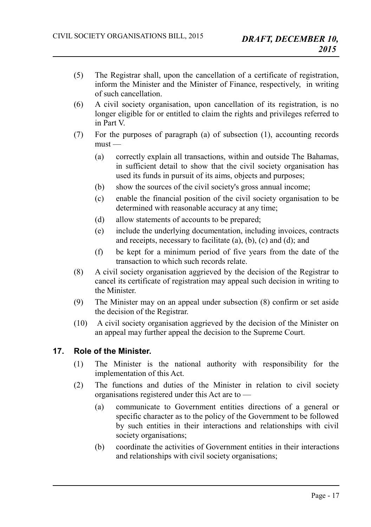- (5) The Registrar shall, upon the cancellation of a certificate of registration, inform the Minister and the Minister of Finance, respectively, in writing of such cancellation.
- (6) A civil society organisation, upon cancellation of its registration, is no longer eligible for or entitled to claim the rights and privileges referred to in Part V.
- (7) For the purposes of paragraph (a) of subsection (1), accounting records  $must -$ 
	- (a) correctly explain all transactions, within and outside The Bahamas, in sufficient detail to show that the civil society organisation has used its funds in pursuit of its aims, objects and purposes;
	- (b) show the sources of the civil society's gross annual income;
	- (c) enable the financial position of the civil society organisation to be determined with reasonable accuracy at any time;
	- (d) allow statements of accounts to be prepared;
	- (e) include the underlying documentation, including invoices, contracts and receipts, necessary to facilitate (a), (b), (c) and (d); and
	- (f) be kept for a minimum period of five years from the date of the transaction to which such records relate.
- (8) A civil society organisation aggrieved by the decision of the Registrar to cancel its certificate of registration may appeal such decision in writing to the Minister.
- (9) The Minister may on an appeal under subsection (8) confirm or set aside the decision of the Registrar.
- (10) A civil society organisation aggrieved by the decision of the Minister on an appeal may further appeal the decision to the Supreme Court.

## **17. Role of the Minister.**

- <span id="page-16-0"></span>(1) The Minister is the national authority with responsibility for the implementation of this Act.
- (2) The functions and duties of the Minister in relation to civil society organisations registered under this Act are to —
	- (a) communicate to Government entities directions of a general or specific character as to the policy of the Government to be followed by such entities in their interactions and relationships with civil society organisations;
	- (b) coordinate the activities of Government entities in their interactions and relationships with civil society organisations;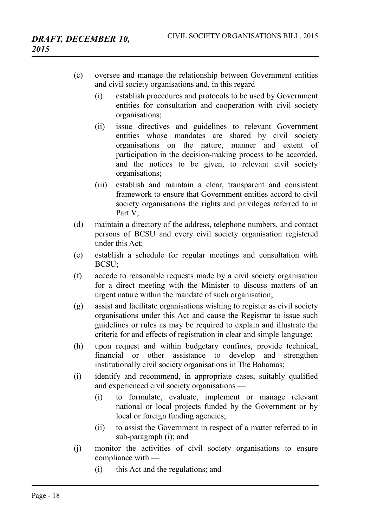- (c) oversee and manage the relationship between Government entities and civil society organisations and, in this regard —
	- (i) establish procedures and protocols to be used by Government entities for consultation and cooperation with civil society organisations;
	- (ii) issue directives and guidelines to relevant Government entities whose mandates are shared by civil society organisations on the nature, manner and extent of participation in the decision-making process to be accorded, and the notices to be given, to relevant civil society organisations;
	- (iii) establish and maintain a clear, transparent and consistent framework to ensure that Government entities accord to civil society organisations the rights and privileges referred to in Part V:
- (d) maintain a directory of the address, telephone numbers, and contact persons of BCSU and every civil society organisation registered under this Act;
- (e) establish a schedule for regular meetings and consultation with BCSU;
- (f) accede to reasonable requests made by a civil society organisation for a direct meeting with the Minister to discuss matters of an urgent nature within the mandate of such organisation;
- (g) assist and facilitate organisations wishing to register as civil society organisations under this Act and cause the Registrar to issue such guidelines or rules as may be required to explain and illustrate the criteria for and effects of registration in clear and simple language;
- (h) upon request and within budgetary confines, provide technical, financial or other assistance to develop and strengthen institutionally civil society organisations in The Bahamas;
- (i) identify and recommend, in appropriate cases, suitably qualified and experienced civil society organisations —
	- (i) to formulate, evaluate, implement or manage relevant national or local projects funded by the Government or by local or foreign funding agencies;
	- (ii) to assist the Government in respect of a matter referred to in sub-paragraph (i); and
- (j) monitor the activities of civil society organisations to ensure compliance with —
	- (i) this Act and the regulations; and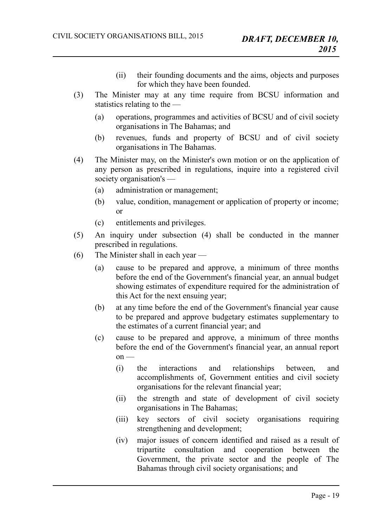- (ii) their founding documents and the aims, objects and purposes for which they have been founded.
- (3) The Minister may at any time require from BCSU information and statistics relating to the —
	- (a) operations, programmes and activities of BCSU and of civil society organisations in The Bahamas; and
	- (b) revenues, funds and property of BCSU and of civil society organisations in The Bahamas.
- (4) The Minister may, on the Minister's own motion or on the application of any person as prescribed in regulations, inquire into a registered civil society organisation's —
	- (a) administration or management;
	- (b) value, condition, management or application of property or income; or
	- (c) entitlements and privileges.
- (5) An inquiry under subsection (4) shall be conducted in the manner prescribed in regulations.
- (6) The Minister shall in each year
	- (a) cause to be prepared and approve, a minimum of three months before the end of the Government's financial year, an annual budget showing estimates of expenditure required for the administration of this Act for the next ensuing year;
	- (b) at any time before the end of the Government's financial year cause to be prepared and approve budgetary estimates supplementary to the estimates of a current financial year; and
	- (c) cause to be prepared and approve, a minimum of three months before the end of the Government's financial year, an annual report  $on$  —
		- (i) the interactions and relationships between, and accomplishments of, Government entities and civil society organisations for the relevant financial year;
		- (ii) the strength and state of development of civil society organisations in The Bahamas;
		- (iii) key sectors of civil society organisations requiring strengthening and development;
		- (iv) major issues of concern identified and raised as a result of tripartite consultation and cooperation between the Government, the private sector and the people of The Bahamas through civil society organisations; and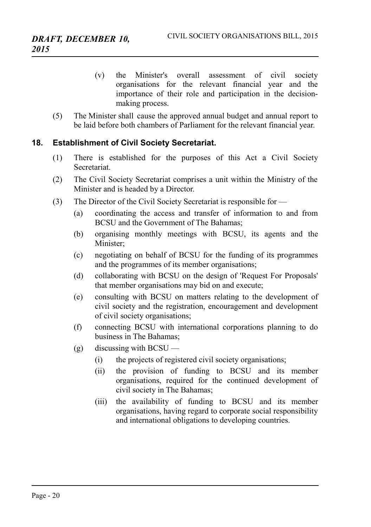- (v) the Minister's overall assessment of civil society organisations for the relevant financial year and the importance of their role and participation in the decisionmaking process.
- (5) The Minister shall cause the approved annual budget and annual report to be laid before both chambers of Parliament for the relevant financial year.

## **18. Establishment of Civil Society Secretariat.**

- <span id="page-19-0"></span>(1) There is established for the purposes of this Act a Civil Society **Secretariat**
- (2) The Civil Society Secretariat comprises a unit within the Ministry of the Minister and is headed by a Director.
- (3) The Director of the Civil Society Secretariat is responsible for
	- (a) coordinating the access and transfer of information to and from BCSU and the Government of The Bahamas;
	- (b) organising monthly meetings with BCSU, its agents and the Minister;
	- (c) negotiating on behalf of BCSU for the funding of its programmes and the programmes of its member organisations;
	- (d) collaborating with BCSU on the design of 'Request For Proposals' that member organisations may bid on and execute;
	- (e) consulting with BCSU on matters relating to the development of civil society and the registration, encouragement and development of civil society organisations;
	- (f) connecting BCSU with international corporations planning to do business in The Bahamas;
	- (g) discussing with BCSU
		- (i) the projects of registered civil society organisations;
		- (ii) the provision of funding to BCSU and its member organisations, required for the continued development of civil society in The Bahamas;
		- (iii) the availability of funding to BCSU and its member organisations, having regard to corporate social responsibility and international obligations to developing countries.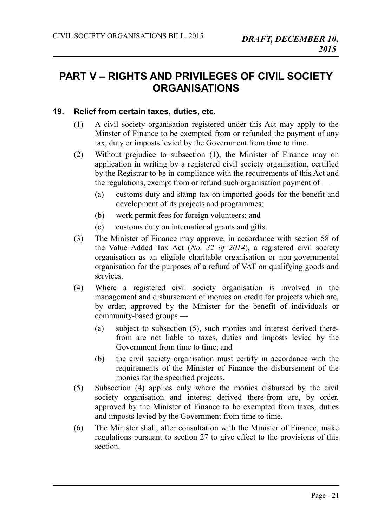## <span id="page-20-1"></span>**PART V – RIGHTS AND PRIVILEGES OF CIVIL SOCIETY ORGANISATIONS**

## **19. Relief from certain taxes, duties, etc.**

- <span id="page-20-0"></span>(1) A civil society organisation registered under this Act may apply to the Minster of Finance to be exempted from or refunded the payment of any tax, duty or imposts levied by the Government from time to time.
- (2) Without prejudice to subsection (1), the Minister of Finance may on application in writing by a registered civil society organisation, certified by the Registrar to be in compliance with the requirements of this Act and the regulations, exempt from or refund such organisation payment of —
	- (a) customs duty and stamp tax on imported goods for the benefit and development of its projects and programmes;
	- (b) work permit fees for foreign volunteers; and
	- (c) customs duty on international grants and gifts.
- (3) The Minister of Finance may approve, in accordance with section 58 of the Value Added Tax Act (*No. 32 of 2014*), a registered civil society organisation as an eligible charitable organisation or non-governmental organisation for the purposes of a refund of VAT on qualifying goods and services.
- (4) Where a registered civil society organisation is involved in the management and disbursement of monies on credit for projects which are, by order, approved by the Minister for the benefit of individuals or community-based groups —
	- (a) subject to subsection (5), such monies and interest derived therefrom are not liable to taxes, duties and imposts levied by the Government from time to time; and
	- (b) the civil society organisation must certify in accordance with the requirements of the Minister of Finance the disbursement of the monies for the specified projects.
- (5) Subsection (4) applies only where the monies disbursed by the civil society organisation and interest derived there-from are, by order, approved by the Minister of Finance to be exempted from taxes, duties and imposts levied by the Government from time to time.
- (6) The Minister shall, after consultation with the Minister of Finance, make regulations pursuant to section 27 to give effect to the provisions of this section.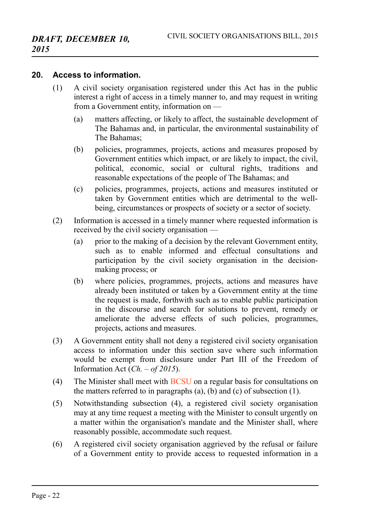#### **20. Access to information.**

- <span id="page-21-0"></span>(1) A civil society organisation registered under this Act has in the public interest a right of access in a timely manner to, and may request in writing from a Government entity, information on —
	- (a) matters affecting, or likely to affect, the sustainable development of The Bahamas and, in particular, the environmental sustainability of The Bahamas;
	- (b) policies, programmes, projects, actions and measures proposed by Government entities which impact, or are likely to impact, the civil, political, economic, social or cultural rights, traditions and reasonable expectations of the people of The Bahamas; and
	- (c) policies, programmes, projects, actions and measures instituted or taken by Government entities which are detrimental to the wellbeing, circumstances or prospects of society or a sector of society.
- (2) Information is accessed in a timely manner where requested information is received by the civil society organisation —
	- (a) prior to the making of a decision by the relevant Government entity, such as to enable informed and effectual consultations and participation by the civil society organisation in the decisionmaking process; or
	- (b) where policies, programmes, projects, actions and measures have already been instituted or taken by a Government entity at the time the request is made, forthwith such as to enable public participation in the discourse and search for solutions to prevent, remedy or ameliorate the adverse effects of such policies, programmes, projects, actions and measures.
- (3) A Government entity shall not deny a registered civil society organisation access to information under this section save where such information would be exempt from disclosure under Part III of the Freedom of Information Act (*Ch. – of 2015*).
- (4) The Minister shall meet with BCSU on a regular basis for consultations on the matters referred to in paragraphs (a), (b) and (c) of subsection (1).
- (5) Notwithstanding subsection (4), a registered civil society organisation may at any time request a meeting with the Minister to consult urgently on a matter within the organisation's mandate and the Minister shall, where reasonably possible, accommodate such request.
- (6) A registered civil society organisation aggrieved by the refusal or failure of a Government entity to provide access to requested information in a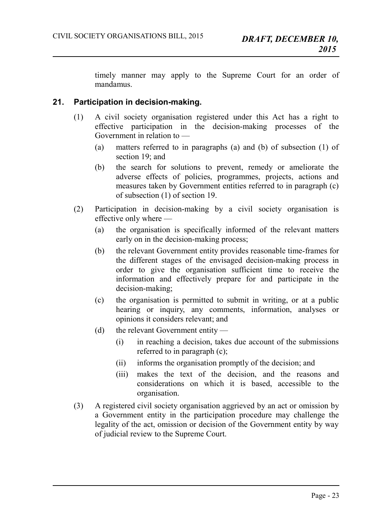timely manner may apply to the Supreme Court for an order of mandamus.

## **21. Participation in decision-making.**

- <span id="page-22-0"></span>(1) A civil society organisation registered under this Act has a right to effective participation in the decision-making processes of the Government in relation to —
	- (a) matters referred to in paragraphs (a) and (b) of subsection (1) of section 19; and
	- (b) the search for solutions to prevent, remedy or ameliorate the adverse effects of policies, programmes, projects, actions and measures taken by Government entities referred to in paragraph (c) of subsection (1) of section 19.
- (2) Participation in decision-making by a civil society organisation is effective only where —
	- (a) the organisation is specifically informed of the relevant matters early on in the decision-making process;
	- (b) the relevant Government entity provides reasonable time-frames for the different stages of the envisaged decision-making process in order to give the organisation sufficient time to receive the information and effectively prepare for and participate in the decision-making;
	- (c) the organisation is permitted to submit in writing, or at a public hearing or inquiry, any comments, information, analyses or opinions it considers relevant; and
	- (d) the relevant Government entity
		- (i) in reaching a decision, takes due account of the submissions referred to in paragraph (c);
		- (ii) informs the organisation promptly of the decision; and
		- (iii) makes the text of the decision, and the reasons and considerations on which it is based, accessible to the organisation.
- (3) A registered civil society organisation aggrieved by an act or omission by a Government entity in the participation procedure may challenge the legality of the act, omission or decision of the Government entity by way of judicial review to the Supreme Court.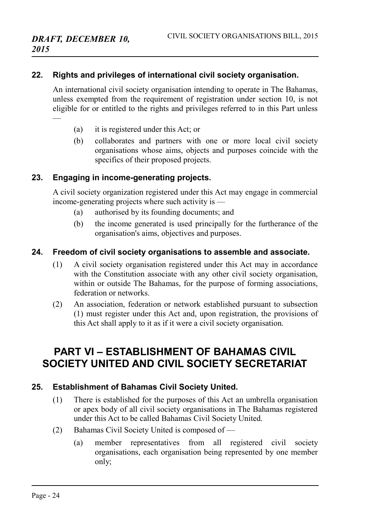#### **22. Rights and privileges of international civil society organisation.**

<span id="page-23-1"></span>An international civil society organisation intending to operate in The Bahamas, unless exempted from the requirement of registration under section 10, is not eligible for or entitled to the rights and privileges referred to in this Part unless —

- (a) it is registered under this Act; or
- (b) collaborates and partners with one or more local civil society organisations whose aims, objects and purposes coincide with the specifics of their proposed projects.

#### **23. Engaging in income-generating projects.**

<span id="page-23-0"></span>A civil society organization registered under this Act may engage in commercial income-generating projects where such activity is —

- (a) authorised by its founding documents; and
- (b) the income generated is used principally for the furtherance of the organisation's aims, objectives and purposes.

#### **24. Freedom of civil society organisations to assemble and associate.**

- <span id="page-23-4"></span>(1) A civil society organisation registered under this Act may in accordance with the Constitution associate with any other civil society organisation, within or outside The Bahamas, for the purpose of forming associations, federation or networks.
- (2) An association, federation or network established pursuant to subsection (1) must register under this Act and, upon registration, the provisions of this Act shall apply to it as if it were a civil society organisation.

## <span id="page-23-3"></span>**PART VI – ESTABLISHMENT OF BAHAMAS CIVIL SOCIETY UNITED AND CIVIL SOCIETY SECRETARIAT**

## **25. Establishment of Bahamas Civil Society United.**

- <span id="page-23-2"></span>(1) There is established for the purposes of this Act an umbrella organisation or apex body of all civil society organisations in The Bahamas registered under this Act to be called Bahamas Civil Society United.
- (2) Bahamas Civil Society United is composed of
	- (a) member representatives from all registered civil society organisations, each organisation being represented by one member only;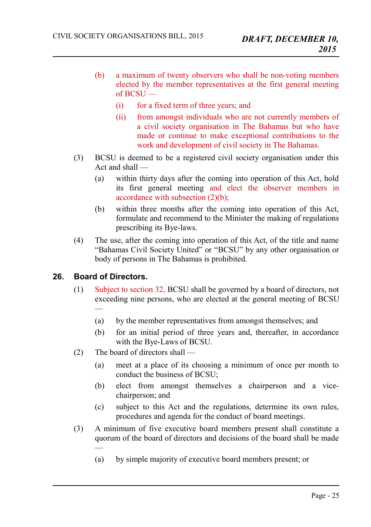- (b) a maximum of twenty observers who shall be non-voting members elected by the member representatives at the first general meeting of  $BCSU$  —
	- (i) for a fixed term of three years; and
	- (ii) from amongst individuals who are not currently members of a civil society organisation in The Bahamas but who have made or continue to make exceptional contributions to the work and development of civil society in The Bahamas.
- (3) BCSU is deemed to be a registered civil society organisation under this Act and shall —
	- (a) within thirty days after the coming into operation of this Act, hold its first general meeting and elect the observer members in accordance with subsection (2)(b);
	- (b) within three months after the coming into operation of this Act, formulate and recommend to the Minister the making of regulations prescribing its Bye-laws.
- (4) The use, after the coming into operation of this Act, of the title and name "Bahamas Civil Society United" or "BCSU" by any other organisation or body of persons in The Bahamas is prohibited.

## **26. Board of Directors.**

—

- <span id="page-24-0"></span>(1) Subject to section 32, BCSU shall be governed by a board of directors, not exceeding nine persons, who are elected at the general meeting of BCSU —
	- (a) by the member representatives from amongst themselves; and
	- (b) for an initial period of three years and, thereafter, in accordance with the Bye-Laws of BCSU.
- (2) The board of directors shall
	- (a) meet at a place of its choosing a minimum of once per month to conduct the business of BCSU;
	- (b) elect from amongst themselves a chairperson and a vicechairperson; and
	- (c) subject to this Act and the regulations, determine its own rules, procedures and agenda for the conduct of board meetings.
- (3) A minimum of five executive board members present shall constitute a quorum of the board of directors and decisions of the board shall be made
	- (a) by simple majority of executive board members present; or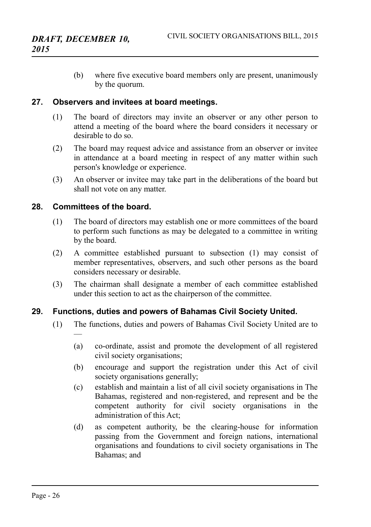(b) where five executive board members only are present, unanimously by the quorum.

#### **27. Observers and invitees at board meetings.**

- <span id="page-25-2"></span>(1) The board of directors may invite an observer or any other person to attend a meeting of the board where the board considers it necessary or desirable to do so.
- (2) The board may request advice and assistance from an observer or invitee in attendance at a board meeting in respect of any matter within such person's knowledge or experience.
- (3) An observer or invitee may take part in the deliberations of the board but shall not vote on any matter.

#### **28. Committees of the board.**

—

- <span id="page-25-1"></span>(1) The board of directors may establish one or more committees of the board to perform such functions as may be delegated to a committee in writing by the board.
- (2) A committee established pursuant to subsection (1) may consist of member representatives, observers, and such other persons as the board considers necessary or desirable.
- (3) The chairman shall designate a member of each committee established under this section to act as the chairperson of the committee.

## **29. Functions, duties and powers of Bahamas Civil Society United.**

- <span id="page-25-0"></span>(1) The functions, duties and powers of Bahamas Civil Society United are to
	- (a) co-ordinate, assist and promote the development of all registered civil society organisations;
	- (b) encourage and support the registration under this Act of civil society organisations generally;
	- (c) establish and maintain a list of all civil society organisations in The Bahamas, registered and non-registered, and represent and be the competent authority for civil society organisations in the administration of this Act;
	- (d) as competent authority, be the clearing-house for information passing from the Government and foreign nations, international organisations and foundations to civil society organisations in The Bahamas; and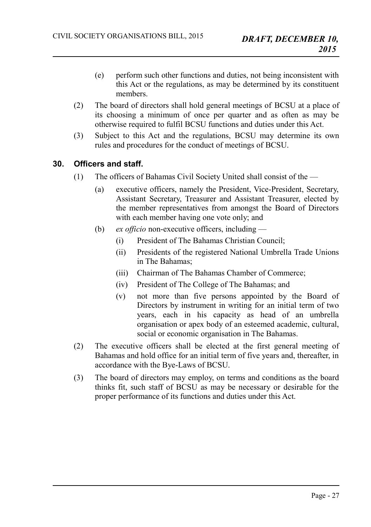- (e) perform such other functions and duties, not being inconsistent with this Act or the regulations, as may be determined by its constituent members.
- (2) The board of directors shall hold general meetings of BCSU at a place of its choosing a minimum of once per quarter and as often as may be otherwise required to fulfil BCSU functions and duties under this Act.
- (3) Subject to this Act and the regulations, BCSU may determine its own rules and procedures for the conduct of meetings of BCSU.

## **30. Officers and staff.**

- <span id="page-26-0"></span>(1) The officers of Bahamas Civil Society United shall consist of the —
	- (a) executive officers, namely the President, Vice-President, Secretary, Assistant Secretary, Treasurer and Assistant Treasurer, elected by the member representatives from amongst the Board of Directors with each member having one vote only; and
	- (b) *ex officio* non-executive officers, including
		- (i) President of The Bahamas Christian Council;
		- (ii) Presidents of the registered National Umbrella Trade Unions in The Bahamas;
		- (iii) Chairman of The Bahamas Chamber of Commerce;
		- (iv) President of The College of The Bahamas; and
		- (v) not more than five persons appointed by the Board of Directors by instrument in writing for an initial term of two years, each in his capacity as head of an umbrella organisation or apex body of an esteemed academic, cultural, social or economic organisation in The Bahamas.
- (2) The executive officers shall be elected at the first general meeting of Bahamas and hold office for an initial term of five years and, thereafter, in accordance with the Bye-Laws of BCSU.
- (3) The board of directors may employ, on terms and conditions as the board thinks fit, such staff of BCSU as may be necessary or desirable for the proper performance of its functions and duties under this Act.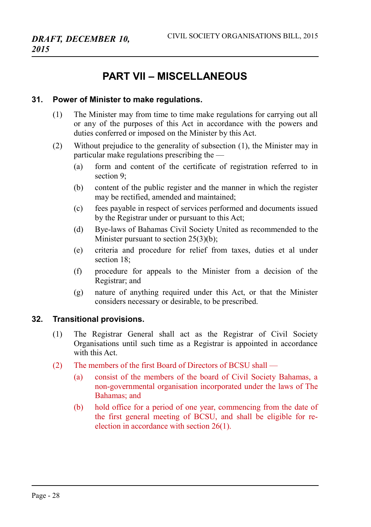## <span id="page-27-2"></span>**PART VII – MISCELLANEOUS**

#### **31. Power of Minister to make regulations.**

- <span id="page-27-1"></span>(1) The Minister may from time to time make regulations for carrying out all or any of the purposes of this Act in accordance with the powers and duties conferred or imposed on the Minister by this Act.
- (2) Without prejudice to the generality of subsection (1), the Minister may in particular make regulations prescribing the —
	- (a) form and content of the certificate of registration referred to in section 9;
	- (b) content of the public register and the manner in which the register may be rectified, amended and maintained;
	- (c) fees payable in respect of services performed and documents issued by the Registrar under or pursuant to this Act;
	- (d) Bye-laws of Bahamas Civil Society United as recommended to the Minister pursuant to section 25(3)(b);
	- (e) criteria and procedure for relief from taxes, duties et al under section 18;
	- (f) procedure for appeals to the Minister from a decision of the Registrar; and
	- (g) nature of anything required under this Act, or that the Minister considers necessary or desirable, to be prescribed.

#### **32. Transitional provisions.**

- <span id="page-27-0"></span>(1) The Registrar General shall act as the Registrar of Civil Society Organisations until such time as a Registrar is appointed in accordance with this Act.
- (2) The members of the first Board of Directors of BCSU shall
	- (a) consist of the members of the board of Civil Society Bahamas, a non-governmental organisation incorporated under the laws of The Bahamas; and
	- (b) hold office for a period of one year, commencing from the date of the first general meeting of BCSU, and shall be eligible for reelection in accordance with section 26(1).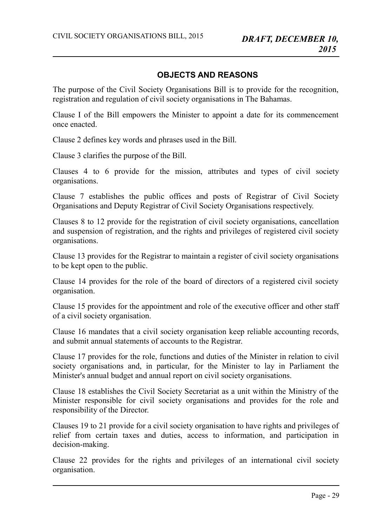## <span id="page-28-0"></span>**OBJECTS AND REASONS**

The purpose of the Civil Society Organisations Bill is to provide for the recognition, registration and regulation of civil society organisations in The Bahamas.

Clause I of the Bill empowers the Minister to appoint a date for its commencement once enacted.

Clause 2 defines key words and phrases used in the Bill.

Clause 3 clarifies the purpose of the Bill.

Clauses 4 to 6 provide for the mission, attributes and types of civil society organisations.

Clause 7 establishes the public offices and posts of Registrar of Civil Society Organisations and Deputy Registrar of Civil Society Organisations respectively.

Clauses 8 to 12 provide for the registration of civil society organisations, cancellation and suspension of registration, and the rights and privileges of registered civil society organisations.

Clause 13 provides for the Registrar to maintain a register of civil society organisations to be kept open to the public.

Clause 14 provides for the role of the board of directors of a registered civil society organisation.

Clause 15 provides for the appointment and role of the executive officer and other staff of a civil society organisation.

Clause 16 mandates that a civil society organisation keep reliable accounting records, and submit annual statements of accounts to the Registrar.

Clause 17 provides for the role, functions and duties of the Minister in relation to civil society organisations and, in particular, for the Minister to lay in Parliament the Minister's annual budget and annual report on civil society organisations.

Clause 18 establishes the Civil Society Secretariat as a unit within the Ministry of the Minister responsible for civil society organisations and provides for the role and responsibility of the Director.

Clauses 19 to 21 provide for a civil society organisation to have rights and privileges of relief from certain taxes and duties, access to information, and participation in decision-making.

Clause 22 provides for the rights and privileges of an international civil society organisation.